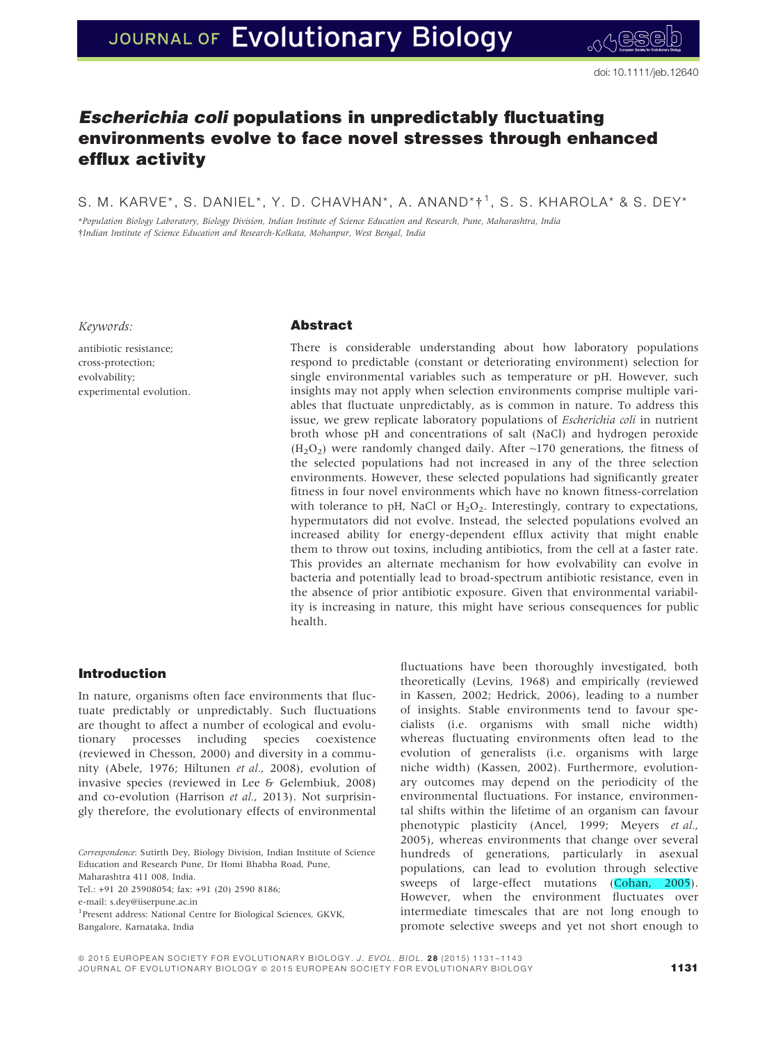# Escherichia coli populations in unpredictably fluctuating environments evolve to face novel stresses through enhanced efflux activity

S. M. KARVE\*, S. DANIEL\*, Y. D. CHAVHAN\*, A. ANAND\* $\dagger$ <sup>1</sup>, S. S. KHAROLA\* & S. DEY\*

\*Population Biology Laboratory, Biology Division, Indian Institute of Science Education and Research, Pune, Maharashtra, India †Indian Institute of Science Education and Research-Kolkata, Mohanpur, West Bengal, India

Keywords:

antibiotic resistance; cross-protection; evolvability; experimental evolution.

# Abstract

There is considerable understanding about how laboratory populations respond to predictable (constant or deteriorating environment) selection for single environmental variables such as temperature or pH. However, such insights may not apply when selection environments comprise multiple variables that fluctuate unpredictably, as is common in nature. To address this issue, we grew replicate laboratory populations of Escherichia coli in nutrient broth whose pH and concentrations of salt (NaCl) and hydrogen peroxide  $(H<sub>2</sub>O<sub>2</sub>)$  were randomly changed daily. After  $\sim$ 170 generations, the fitness of the selected populations had not increased in any of the three selection environments. However, these selected populations had significantly greater fitness in four novel environments which have no known fitness-correlation with tolerance to pH, NaCl or  $H_2O_2$ . Interestingly, contrary to expectations, hypermutators did not evolve. Instead, the selected populations evolved an increased ability for energy-dependent efflux activity that might enable them to throw out toxins, including antibiotics, from the cell at a faster rate. This provides an alternate mechanism for how evolvability can evolve in bacteria and potentially lead to broad-spectrum antibiotic resistance, even in the absence of prior antibiotic exposure. Given that environmental variability is increasing in nature, this might have serious consequences for public health.

# Introduction

In nature, organisms often face environments that fluctuate predictably or unpredictably. Such fluctuations are thought to affect a number of ecological and evolutionary processes including species coexistence (reviewed in Chesson, 2000) and diversity in a community (Abele, 1976; Hiltunen et al., 2008), evolution of invasive species (reviewed in Lee & Gelembiuk, 2008) and co-evolution (Harrison et al., 2013). Not surprisingly therefore, the evolutionary effects of environmental

Correspondence: Sutirth Dey, Biology Division, Indian Institute of Science Education and Research Pune, Dr Homi Bhabha Road, Pune,

Maharashtra 411 008, India.

Tel.: +91 20 25908054; fax: +91 (20) 2590 8186;

e-mail: s.dey@iiserpune.ac.in

<sup>1</sup> Present address: National Centre for Biological Sciences, GKVK, Bangalore, Karnataka, India

fluctuations have been thoroughly investigated, both theoretically (Levins, 1968) and empirically (reviewed in Kassen, 2002; Hedrick, 2006), leading to a number of insights. Stable environments tend to favour specialists (i.e. organisms with small niche width) whereas fluctuating environments often lead to the evolution of generalists (i.e. organisms with large niche width) (Kassen, 2002). Furthermore, evolutionary outcomes may depend on the periodicity of the environmental fluctuations. For instance, environmental shifts within the lifetime of an organism can favour phenotypic plasticity (Ancel, 1999; Meyers et al., 2005), whereas environments that change over several hundreds of generations, particularly in asexual populations, can lead to evolution through selective sweeps of large-effect mutations (Cohan, 2005). However, when the environment fluctuates over intermediate timescales that are not long enough to promote selective sweeps and yet not short enough to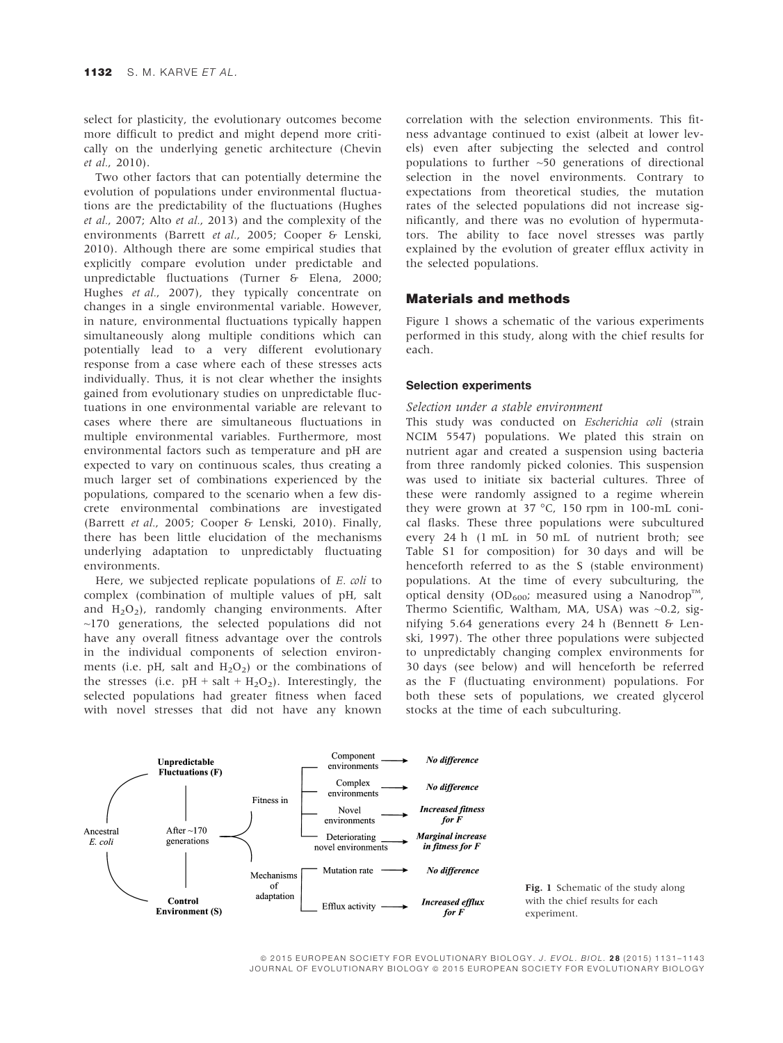select for plasticity, the evolutionary outcomes become more difficult to predict and might depend more critically on the underlying genetic architecture (Chevin et al., 2010).

Two other factors that can potentially determine the evolution of populations under environmental fluctuations are the predictability of the fluctuations (Hughes et al., 2007; Alto et al., 2013) and the complexity of the environments (Barrett et al., 2005; Cooper & Lenski, 2010). Although there are some empirical studies that explicitly compare evolution under predictable and unpredictable fluctuations (Turner & Elena, 2000; Hughes et al., 2007), they typically concentrate on changes in a single environmental variable. However, in nature, environmental fluctuations typically happen simultaneously along multiple conditions which can potentially lead to a very different evolutionary response from a case where each of these stresses acts individually. Thus, it is not clear whether the insights gained from evolutionary studies on unpredictable fluctuations in one environmental variable are relevant to cases where there are simultaneous fluctuations in multiple environmental variables. Furthermore, most environmental factors such as temperature and pH are expected to vary on continuous scales, thus creating a much larger set of combinations experienced by the populations, compared to the scenario when a few discrete environmental combinations are investigated (Barrett et al., 2005; Cooper & Lenski, 2010). Finally, there has been little elucidation of the mechanisms underlying adaptation to unpredictably fluctuating environments.

Here, we subjected replicate populations of E. coli to complex (combination of multiple values of pH, salt and  $H_2O_2$ ), randomly changing environments. After  $\sim$ 170 generations, the selected populations did not have any overall fitness advantage over the controls in the individual components of selection environments (i.e. pH, salt and  $H_2O_2$ ) or the combinations of the stresses (i.e.  $pH + salt + H<sub>2</sub>O<sub>2</sub>$ ). Interestingly, the selected populations had greater fitness when faced with novel stresses that did not have any known

correlation with the selection environments. This fitness advantage continued to exist (albeit at lower levels) even after subjecting the selected and control populations to further  $~50$  generations of directional selection in the novel environments. Contrary to expectations from theoretical studies, the mutation rates of the selected populations did not increase significantly, and there was no evolution of hypermutators. The ability to face novel stresses was partly explained by the evolution of greater efflux activity in the selected populations.

## Materials and methods

Figure 1 shows a schematic of the various experiments performed in this study, along with the chief results for each.

## Selection experiments

### Selection under a stable environment

This study was conducted on Escherichia coli (strain NCIM 5547) populations. We plated this strain on nutrient agar and created a suspension using bacteria from three randomly picked colonies. This suspension was used to initiate six bacterial cultures. Three of these were randomly assigned to a regime wherein they were grown at 37 °C, 150 rpm in 100-mL conical flasks. These three populations were subcultured every 24 h (1 mL in 50 mL of nutrient broth; see Table S1 for composition) for 30 days and will be henceforth referred to as the S (stable environment) populations. At the time of every subculturing, the optical density (OD<sub>600</sub>; measured using a Nanodrop<sup>TM</sup>, Thermo Scientific, Waltham, MA, USA) was ~0.2, signifying 5.64 generations every 24 h (Bennett & Lenski, 1997). The other three populations were subjected to unpredictably changing complex environments for 30 days (see below) and will henceforth be referred as the F (fluctuating environment) populations. For both these sets of populations, we created glycerol stocks at the time of each subculturing.



© 2015 EUROPEAN SOCIETY FOR EVOLUTIONARY BIOLOGY. J. EVOL. BIOL. 28 (2015) 1131-1143 JOURNAL OF EVOLUTIONARY BIOLOGY @ 2015 EUROPEAN SOCIETY FOR EVOLUTIONARY BIOLOGY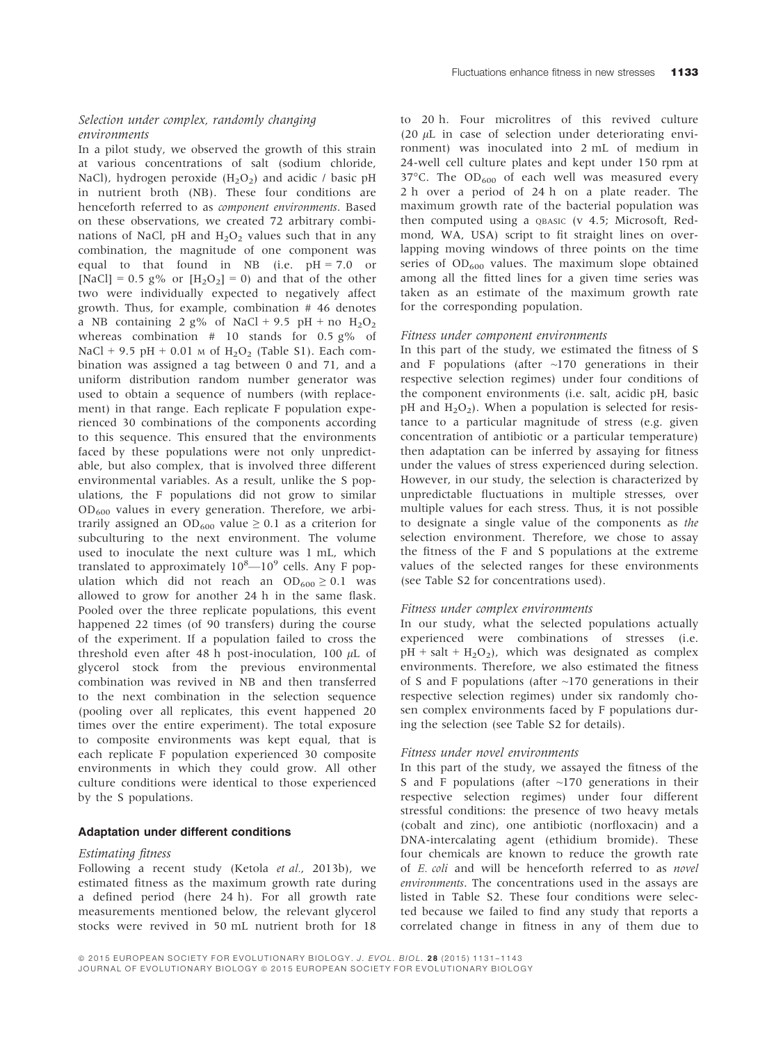# Selection under complex, randomly changing environments

In a pilot study, we observed the growth of this strain at various concentrations of salt (sodium chloride, NaCl), hydrogen peroxide  $(H_2O_2)$  and acidic / basic pH in nutrient broth (NB). These four conditions are henceforth referred to as component environments. Based on these observations, we created 72 arbitrary combinations of NaCl, pH and  $H_2O_2$  values such that in any combination, the magnitude of one component was equal to that found in NB (i.e.  $pH = 7.0$  or [NaCl] = 0.5 g% or  $[H_2O_2] = 0$ ) and that of the other two were individually expected to negatively affect growth. Thus, for example, combination # 46 denotes a NB containing 2 g% of NaCl + 9.5 pH + no  $H_2O_2$ whereas combination  $# 10$  stands for 0.5 g% of NaCl + 9.5 pH + 0.01  $\text{M}$  of H<sub>2</sub>O<sub>2</sub> (Table S1). Each combination was assigned a tag between 0 and 71, and a uniform distribution random number generator was used to obtain a sequence of numbers (with replacement) in that range. Each replicate F population experienced 30 combinations of the components according to this sequence. This ensured that the environments faced by these populations were not only unpredictable, but also complex, that is involved three different environmental variables. As a result, unlike the S populations, the F populations did not grow to similar  $OD_{600}$  values in every generation. Therefore, we arbitrarily assigned an OD<sub>600</sub> value  $\geq$  0.1 as a criterion for subculturing to the next environment. The volume used to inoculate the next culture was 1 mL, which translated to approximately  $10^8$ — $10^9$  cells. Any F population which did not reach an  $OD_{600} \ge 0.1$  was allowed to grow for another 24 h in the same flask. Pooled over the three replicate populations, this event happened 22 times (of 90 transfers) during the course of the experiment. If a population failed to cross the threshold even after 48 h post-inoculation, 100  $\mu$ L of glycerol stock from the previous environmental combination was revived in NB and then transferred to the next combination in the selection sequence (pooling over all replicates, this event happened 20 times over the entire experiment). The total exposure to composite environments was kept equal, that is each replicate F population experienced 30 composite environments in which they could grow. All other culture conditions were identical to those experienced by the S populations.

### Adaptation under different conditions

#### Estimating fitness

Following a recent study (Ketola et al., 2013b), we estimated fitness as the maximum growth rate during a defined period (here 24 h). For all growth rate measurements mentioned below, the relevant glycerol stocks were revived in 50 mL nutrient broth for 18

to 20 h. Four microlitres of this revived culture (20  $\mu$ L in case of selection under deteriorating environment) was inoculated into 2 mL of medium in 24-well cell culture plates and kept under 150 rpm at 37 $^{\circ}$ C. The OD<sub>600</sub> of each well was measured every 2 h over a period of 24 h on a plate reader. The maximum growth rate of the bacterial population was then computed using a QBASIC (v 4.5; Microsoft, Redmond, WA, USA) script to fit straight lines on overlapping moving windows of three points on the time series of  $OD_{600}$  values. The maximum slope obtained among all the fitted lines for a given time series was taken as an estimate of the maximum growth rate for the corresponding population.

## Fitness under component environments

In this part of the study, we estimated the fitness of S and F populations (after  $\sim$ 170 generations in their respective selection regimes) under four conditions of the component environments (i.e. salt, acidic pH, basic pH and  $H_2O_2$ ). When a population is selected for resistance to a particular magnitude of stress (e.g. given concentration of antibiotic or a particular temperature) then adaptation can be inferred by assaying for fitness under the values of stress experienced during selection. However, in our study, the selection is characterized by unpredictable fluctuations in multiple stresses, over multiple values for each stress. Thus, it is not possible to designate a single value of the components as the selection environment. Therefore, we chose to assay the fitness of the F and S populations at the extreme values of the selected ranges for these environments (see Table S2 for concentrations used).

### Fitness under complex environments

In our study, what the selected populations actually experienced were combinations of stresses (i.e.  $pH + salt + H<sub>2</sub>O<sub>2</sub>$ , which was designated as complex environments. Therefore, we also estimated the fitness of S and F populations (after  $\sim$ 170 generations in their respective selection regimes) under six randomly chosen complex environments faced by F populations during the selection (see Table S2 for details).

#### Fitness under novel environments

In this part of the study, we assayed the fitness of the S and F populations (after  $\sim$ 170 generations in their respective selection regimes) under four different stressful conditions: the presence of two heavy metals (cobalt and zinc), one antibiotic (norfloxacin) and a DNA-intercalating agent (ethidium bromide). These four chemicals are known to reduce the growth rate of E. coli and will be henceforth referred to as novel environments. The concentrations used in the assays are listed in Table S2. These four conditions were selected because we failed to find any study that reports a correlated change in fitness in any of them due to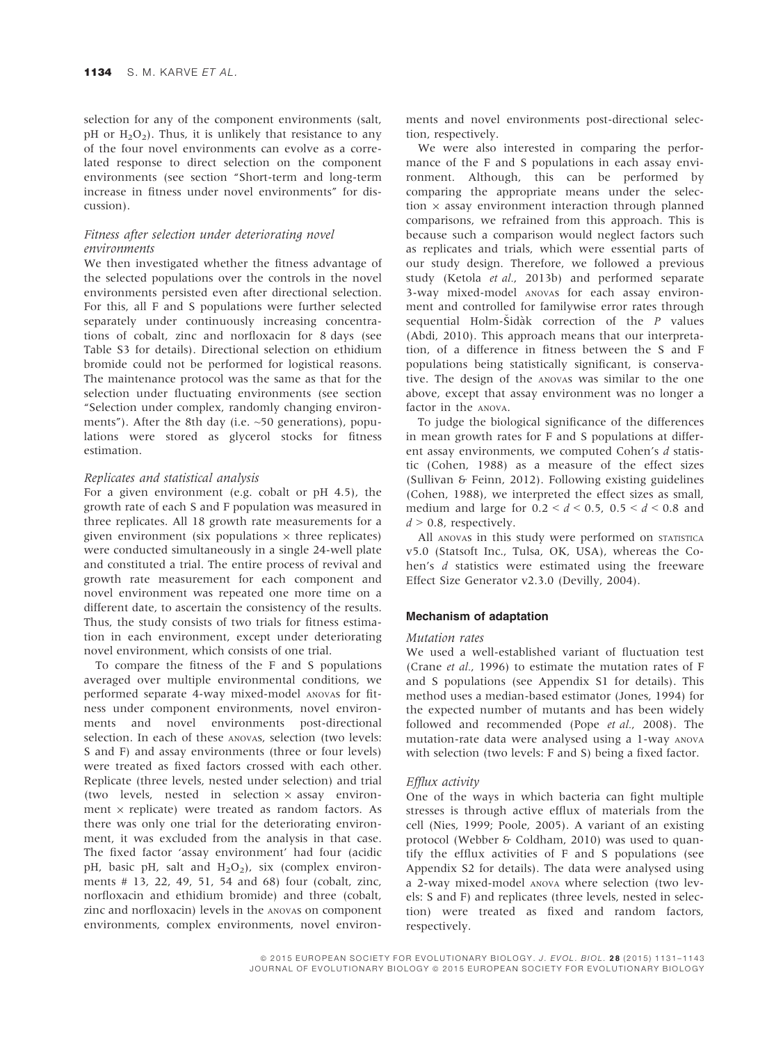selection for any of the component environments (salt, pH or  $H_2O_2$ ). Thus, it is unlikely that resistance to any of the four novel environments can evolve as a correlated response to direct selection on the component environments (see section "Short-term and long-term increase in fitness under novel environments" for discussion).

# Fitness after selection under deteriorating novel environments

We then investigated whether the fitness advantage of the selected populations over the controls in the novel environments persisted even after directional selection. For this, all F and S populations were further selected separately under continuously increasing concentrations of cobalt, zinc and norfloxacin for 8 days (see Table S3 for details). Directional selection on ethidium bromide could not be performed for logistical reasons. The maintenance protocol was the same as that for the selection under fluctuating environments (see section "Selection under complex, randomly changing environments"). After the 8th day (i.e. ~50 generations), populations were stored as glycerol stocks for fitness estimation.

#### Replicates and statistical analysis

For a given environment (e.g. cobalt or pH 4.5), the growth rate of each S and F population was measured in three replicates. All 18 growth rate measurements for a given environment (six populations  $\times$  three replicates) were conducted simultaneously in a single 24-well plate and constituted a trial. The entire process of revival and growth rate measurement for each component and novel environment was repeated one more time on a different date, to ascertain the consistency of the results. Thus, the study consists of two trials for fitness estimation in each environment, except under deteriorating novel environment, which consists of one trial.

To compare the fitness of the F and S populations averaged over multiple environmental conditions, we performed separate 4-way mixed-model ANOVAs for fitness under component environments, novel environments and novel environments post-directional selection. In each of these ANOVAS, selection (two levels: S and F) and assay environments (three or four levels) were treated as fixed factors crossed with each other. Replicate (three levels, nested under selection) and trial (two levels, nested in selection  $\times$  assay environment  $\times$  replicate) were treated as random factors. As there was only one trial for the deteriorating environment, it was excluded from the analysis in that case. The fixed factor 'assay environment' had four (acidic pH, basic pH, salt and  $H_2O_2$ ), six (complex environments # 13, 22, 49, 51, 54 and 68) four (cobalt, zinc, norfloxacin and ethidium bromide) and three (cobalt, zinc and norfloxacin) levels in the ANOVAs on component environments, complex environments, novel environments and novel environments post-directional selection, respectively.

We were also interested in comparing the performance of the F and S populations in each assay environment. Although, this can be performed by comparing the appropriate means under the selection  $\times$  assay environment interaction through planned comparisons, we refrained from this approach. This is because such a comparison would neglect factors such as replicates and trials, which were essential parts of our study design. Therefore, we followed a previous study (Ketola et al., 2013b) and performed separate 3-way mixed-model ANOVAs for each assay environment and controlled for familywise error rates through sequential Holm-Šidàk correction of the  $P$  values (Abdi, 2010). This approach means that our interpretation, of a difference in fitness between the S and F populations being statistically significant, is conservative. The design of the ANOVAs was similar to the one above, except that assay environment was no longer a factor in the ANOVA.

To judge the biological significance of the differences in mean growth rates for F and S populations at different assay environments, we computed Cohen's  $d$  statistic (Cohen, 1988) as a measure of the effect sizes (Sullivan & Feinn, 2012). Following existing guidelines (Cohen, 1988), we interpreted the effect sizes as small, medium and large for  $0.2 < d < 0.5$ ,  $0.5 < d < 0.8$  and  $d > 0.8$ , respectively.

All ANOVAS in this study were performed on STATISTICA v5.0 (Statsoft Inc., Tulsa, OK, USA), whereas the Cohen's d statistics were estimated using the freeware Effect Size Generator v2.3.0 (Devilly, 2004).

## Mechanism of adaptation

### Mutation rates

We used a well-established variant of fluctuation test (Crane et al., 1996) to estimate the mutation rates of F and S populations (see Appendix S1 for details). This method uses a median-based estimator (Jones, 1994) for the expected number of mutants and has been widely followed and recommended (Pope et al., 2008). The mutation-rate data were analysed using a 1-way ANOVA with selection (two levels: F and S) being a fixed factor.

## Efflux activity

One of the ways in which bacteria can fight multiple stresses is through active efflux of materials from the cell (Nies, 1999; Poole, 2005). A variant of an existing protocol (Webber & Coldham, 2010) was used to quantify the efflux activities of F and S populations (see Appendix S2 for details). The data were analysed using a 2-way mixed-model ANOVA where selection (two levels: S and F) and replicates (three levels, nested in selection) were treated as fixed and random factors, respectively.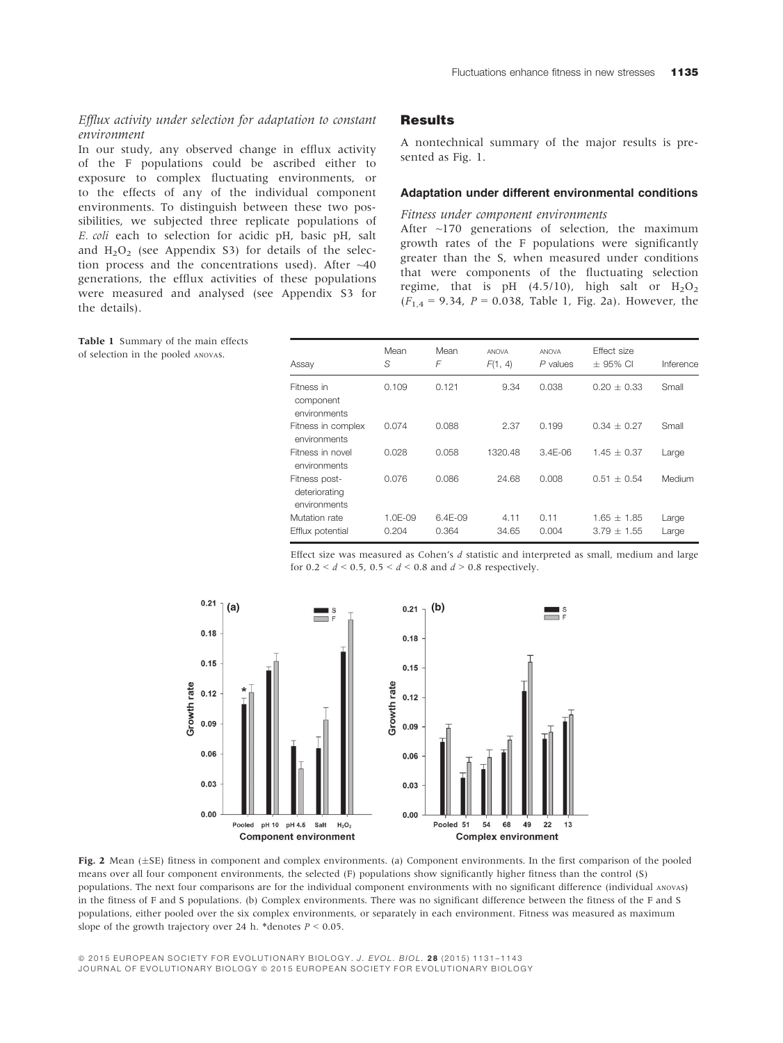# Efflux activity under selection for adaptation to constant environment

In our study, any observed change in efflux activity of the F populations could be ascribed either to exposure to complex fluctuating environments, or to the effects of any of the individual component environments. To distinguish between these two possibilities, we subjected three replicate populations of E. coli each to selection for acidic pH, basic pH, salt and  $H_2O_2$  (see Appendix S3) for details of the selection process and the concentrations used). After ~40 generations, the efflux activities of these populations were measured and analysed (see Appendix S3 for the details).

## **Results**

A nontechnical summary of the major results is presented as Fig. 1.

## Adaptation under different environmental conditions

## Fitness under component environments

After ~170 generations of selection, the maximum growth rates of the F populations were significantly greater than the S, when measured under conditions that were components of the fluctuating selection regime, that is pH (4.5/10), high salt or  $H_2O_2$  $(F_{1,4} = 9.34, P = 0.038,$  Table 1, Fig. 2a). However, the

| Assay                                          | Mean<br>S          | Mean<br>F           | <b>ANOVA</b><br>F(1, 4) | <b>ANOVA</b><br>$P$ values | <b>Effect size</b><br>$\pm$ 95% CI | Inference      |
|------------------------------------------------|--------------------|---------------------|-------------------------|----------------------------|------------------------------------|----------------|
| Fitness in<br>component<br>environments        | 0.109              | 0.121               | 9.34                    | 0.038                      | $0.20 + 0.33$                      | Small          |
| Fitness in complex<br>environments             | 0.074              | 0.088               | 2.37                    | 0.199                      | $0.34 + 0.27$                      | Small          |
| Fitness in novel<br>environments               | 0.028              | 0.058               | 1320.48                 | $3.4F - 06$                | $1.45 \pm 0.37$                    | Large          |
| Fitness post-<br>deteriorating<br>environments | 0.076              | 0.086               | 24.68                   | 0.008                      | $0.51 + 0.54$                      | Medium         |
| Mutation rate<br>Efflux potential              | $1.0F-09$<br>0.204 | $6.4F-0.9$<br>0.364 | 4.11<br>34.65           | 0.11<br>0.004              | $1.65 \pm 1.85$<br>$3.79 \pm 1.55$ | Large<br>Large |

Effect size was measured as Cohen's d statistic and interpreted as small, medium and large for  $0.2 < d < 0.5$ ,  $0.5 < d < 0.8$  and  $d > 0.8$  respectively.





© 2015 EUROPEAN SOCIETY FOR EVOLUTIONARY BIOLOGY. J. EVOL. BIOL. 28 (2015) 1131-1143 JOURNAL OF EVOLUTIONARY BIOLOGY @ 2015 EUROPEAN SOCIETY FOR EVOLUTIONARY BIOLOGY

Table 1 Summary of the main effects of selection in the pooled ANOVAs.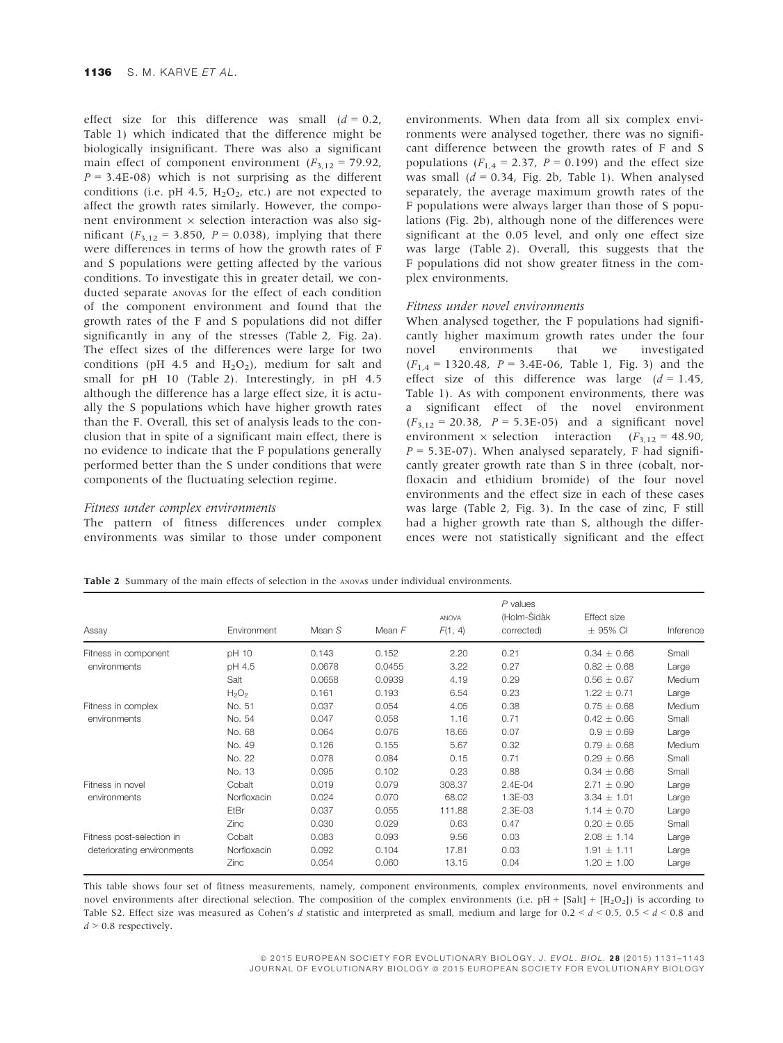effect size for this difference was small  $(d = 0.2,$ Table 1) which indicated that the difference might be biologically insignificant. There was also a significant main effect of component environment ( $F_{3,12} = 79.92$ )  $P = 3.4E-08$ ) which is not surprising as the different conditions (i.e. pH 4.5,  $H_2O_2$ , etc.) are not expected to affect the growth rates similarly. However, the component environment  $\times$  selection interaction was also significant ( $F_{3,12} = 3.850$ ,  $P = 0.038$ ), implying that there were differences in terms of how the growth rates of F and S populations were getting affected by the various conditions. To investigate this in greater detail, we conducted separate ANOVAs for the effect of each condition of the component environment and found that the growth rates of the F and S populations did not differ significantly in any of the stresses (Table 2, Fig. 2a). The effect sizes of the differences were large for two conditions (pH 4.5 and  $H_2O_2$ ), medium for salt and small for pH 10 (Table 2). Interestingly, in pH 4.5 although the difference has a large effect size, it is actually the S populations which have higher growth rates than the F. Overall, this set of analysis leads to the conclusion that in spite of a significant main effect, there is no evidence to indicate that the F populations generally performed better than the S under conditions that were components of the fluctuating selection regime.

## Fitness under complex environments

The pattern of fitness differences under complex environments was similar to those under component environments. When data from all six complex environments were analysed together, there was no significant difference between the growth rates of F and S populations ( $F_{1,4} = 2.37$ ,  $P = 0.199$ ) and the effect size was small  $(d = 0.34,$  Fig. 2b, Table 1). When analysed separately, the average maximum growth rates of the F populations were always larger than those of S populations (Fig. 2b), although none of the differences were significant at the 0.05 level, and only one effect size was large (Table 2). Overall, this suggests that the F populations did not show greater fitness in the complex environments.

#### Fitness under novel environments

When analysed together, the F populations had significantly higher maximum growth rates under the four novel environments that we investigated  $(F_{1,4} = 1320.48, P = 3.4E-06, Table 1, Fig. 3)$  and the effect size of this difference was large  $(d = 1.45,$ Table 1). As with component environments, there was a significant effect of the novel environment  $(F_{3,12} = 20.38, P = 5.3E-05)$  and a significant novel environment  $\times$  selection interaction ( $F_{3,12} = 48.90$ ,  $P = 5.3E-07$ ). When analysed separately, F had significantly greater growth rate than S in three (cobalt, norfloxacin and ethidium bromide) of the four novel environments and the effect size in each of these cases was large (Table 2, Fig. 3). In the case of zinc, F still had a higher growth rate than S, although the differences were not statistically significant and the effect

Table 2 Summary of the main effects of selection in the ANOVAS under individual environments.

| Assay                                                   | Environment | Mean S | Mean $F$ | <b>ANOVA</b><br>F(1, 4) | $P$ values<br>(Holm-Sidàk<br>corrected) | Effect size<br>$\pm$ 95% CI | Inference |
|---------------------------------------------------------|-------------|--------|----------|-------------------------|-----------------------------------------|-----------------------------|-----------|
| Fitness in component                                    | pH 10       | 0.143  | 0.152    | 2.20                    | 0.21                                    | $0.34 \pm 0.66$             | Small     |
| environments                                            | pH 4.5      | 0.0678 | 0.0455   | 3.22                    | 0.27                                    | $0.82 \pm 0.68$             | Large     |
|                                                         | Salt        | 0.0658 | 0.0939   | 4.19                    | 0.29                                    | $0.56 \pm 0.67$             | Medium    |
|                                                         | $H_2O_2$    | 0.161  | 0.193    | 6.54                    | 0.23                                    | $1.22 \pm 0.71$             | Large     |
| Fitness in complex<br>environments                      | No. 51      | 0.037  | 0.054    | 4.05                    | 0.38                                    | $0.75 \pm 0.68$             | Medium    |
|                                                         | No. 54      | 0.047  | 0.058    | 1.16                    | 0.71                                    | $0.42 \pm 0.66$             | Small     |
|                                                         | No. 68      | 0.064  | 0.076    | 18.65                   | 0.07                                    | $0.9 \pm 0.69$              | Large     |
|                                                         | No. 49      | 0.126  | 0.155    | 5.67                    | 0.32                                    | $0.79 \pm 0.68$             | Medium    |
|                                                         | No. 22      | 0.078  | 0.084    | 0.15                    | 0.71                                    | $0.29 \pm 0.66$             | Small     |
|                                                         | No. 13      | 0.095  | 0.102    | 0.23                    | 0.88                                    | $0.34 \pm 0.66$             | Small     |
| Fitness in novel<br>environments                        | Cobalt      | 0.019  | 0.079    | 308.37                  | 2.4E-04                                 | $2.71 \pm 0.90$             | Large     |
|                                                         | Norfloxacin | 0.024  | 0.070    | 68.02                   | 1.3E-03                                 | $3.34 \pm 1.01$             | Large     |
|                                                         | EtBr        | 0.037  | 0.055    | 111.88                  | $2.3E-03$                               | $1.14 \pm 0.70$             | Large     |
|                                                         | Zinc        | 0.030  | 0.029    | 0.63                    | 0.47                                    | $0.20 \pm 0.65$             | Small     |
| Fitness post-selection in<br>deteriorating environments | Cobalt      | 0.083  | 0.093    | 9.56                    | 0.03                                    | $2.08 \pm 1.14$             | Large     |
|                                                         | Norfloxacin | 0.092  | 0.104    | 17.81                   | 0.03                                    | $1.91 + 1.11$               | Large     |
|                                                         | Zinc        | 0.054  | 0.060    | 13.15                   | 0.04                                    | $1.20 \pm 1.00$             | Large     |

This table shows four set of fitness measurements, namely, component environments, complex environments, novel environments and novel environments after directional selection. The composition of the complex environments (i.e.  $pH + [Sal1 + [H_2O_2])$  is according to Table S2. Effect size was measured as Cohen's d statistic and interpreted as small, medium and large for  $0.2 < d < 0.5$ ,  $0.5 < d < 0.8$  and  $d > 0.8$  respectively.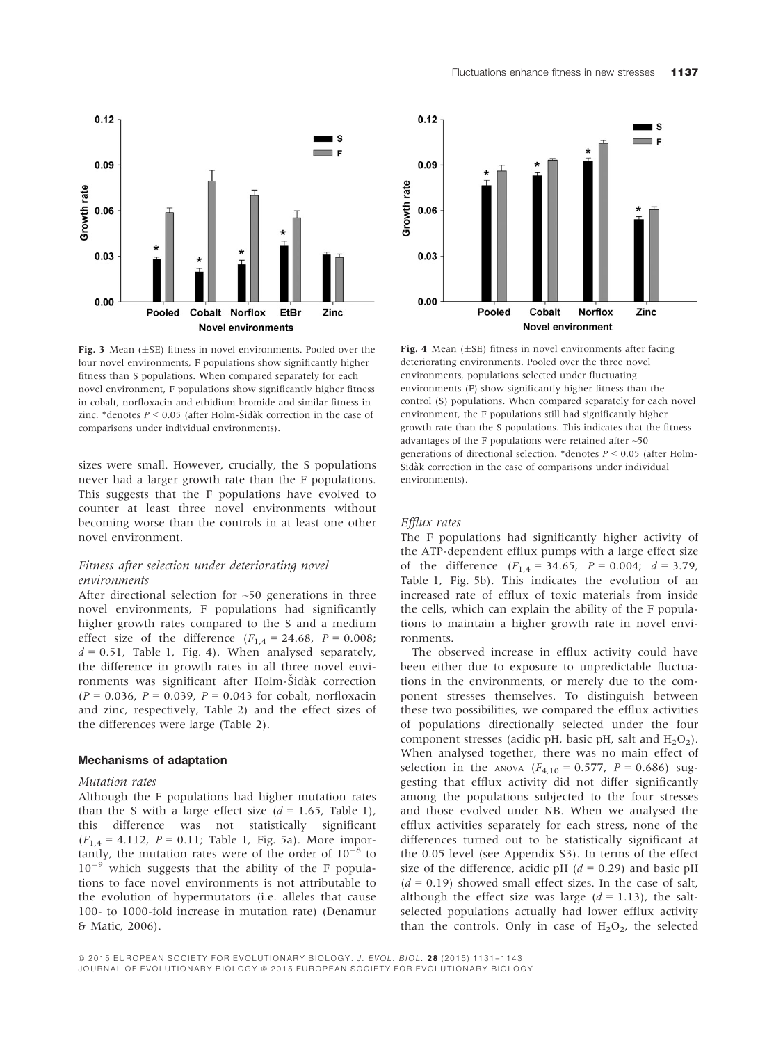

Fig. 3 Mean  $(\pm SE)$  fitness in novel environments. Pooled over the four novel environments, F populations show significantly higher fitness than S populations. When compared separately for each novel environment, F populations show significantly higher fitness in cobalt, norfloxacin and ethidium bromide and similar fitness in zinc. \*denotes  $P \le 0.05$  (after Holm-Šidàk correction in the case of comparisons under individual environments).

sizes were small. However, crucially, the S populations never had a larger growth rate than the F populations. This suggests that the F populations have evolved to counter at least three novel environments without becoming worse than the controls in at least one other novel environment.

## Fitness after selection under deteriorating novel environments

After directional selection for  $~50$  generations in three novel environments, F populations had significantly higher growth rates compared to the S and a medium effect size of the difference  $(F_{1,4} = 24.68, P = 0.008;$  $d = 0.51$ , Table 1, Fig. 4). When analysed separately, the difference in growth rates in all three novel environments was significant after Holm-Šidàk correction  $(P = 0.036, P = 0.039, P = 0.043$  for cobalt, norfloxacin and zinc, respectively, Table 2) and the effect sizes of the differences were large (Table 2).

## Mechanisms of adaptation

## Mutation rates

Although the F populations had higher mutation rates than the S with a large effect size  $(d = 1.65,$  Table 1), this difference was not statistically significant  $(F_{1,4} = 4.112, P = 0.11;$  Table 1, Fig. 5a). More importantly, the mutation rates were of the order of  $10^{-8}$  to  $10^{-9}$  which suggests that the ability of the F populations to face novel environments is not attributable to the evolution of hypermutators (i.e. alleles that cause 100- to 1000-fold increase in mutation rate) (Denamur & Matic, 2006).



Fig. 4 Mean  $(\pm SE)$  fitness in novel environments after facing deteriorating environments. Pooled over the three novel environments, populations selected under fluctuating environments (F) show significantly higher fitness than the control (S) populations. When compared separately for each novel environment, the F populations still had significantly higher growth rate than the S populations. This indicates that the fitness advantages of the F populations were retained after ~50 generations of directional selection. \*denotes  $P \le 0.05$  (after Holm-Šidàk correction in the case of comparisons under individual environments).

## Efflux rates

The F populations had significantly higher activity of the ATP-dependent efflux pumps with a large effect size of the difference  $(F_{1,4} = 34.65, P = 0.004; d = 3.79,$ Table 1, Fig. 5b). This indicates the evolution of an increased rate of efflux of toxic materials from inside the cells, which can explain the ability of the F populations to maintain a higher growth rate in novel environments.

The observed increase in efflux activity could have been either due to exposure to unpredictable fluctuations in the environments, or merely due to the component stresses themselves. To distinguish between these two possibilities, we compared the efflux activities of populations directionally selected under the four component stresses (acidic pH, basic pH, salt and  $H_2O_2$ ). When analysed together, there was no main effect of selection in the ANOVA  $(F_{4,10} = 0.577, P = 0.686)$  suggesting that efflux activity did not differ significantly among the populations subjected to the four stresses and those evolved under NB. When we analysed the efflux activities separately for each stress, none of the differences turned out to be statistically significant at the 0.05 level (see Appendix S3). In terms of the effect size of the difference, acidic pH  $(d = 0.29)$  and basic pH  $(d = 0.19)$  showed small effect sizes. In the case of salt, although the effect size was large  $(d = 1.13)$ , the saltselected populations actually had lower efflux activity than the controls. Only in case of  $H_2O_2$ , the selected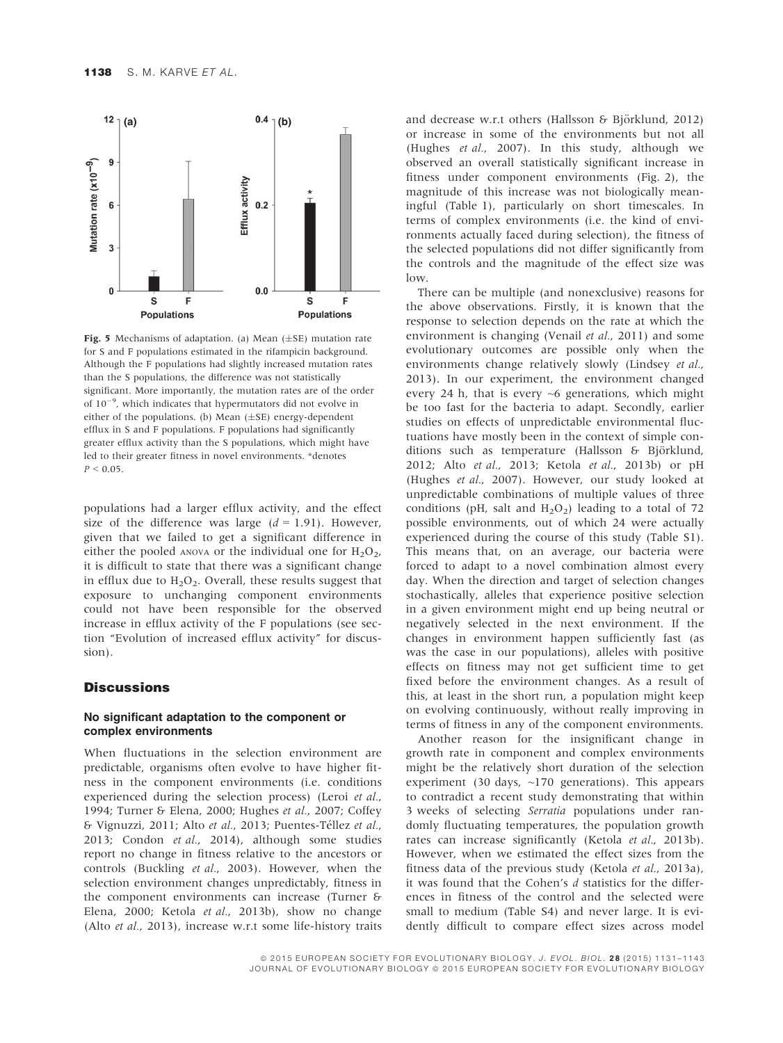

Fig. 5 Mechanisms of adaptation. (a) Mean  $(\pm S E)$  mutation rate for S and F populations estimated in the rifampicin background. Although the F populations had slightly increased mutation rates than the S populations, the difference was not statistically significant. More importantly, the mutation rates are of the order of  $10^{-9}$ , which indicates that hypermutators did not evolve in either of the populations. (b) Mean  $(\pm SE)$  energy-dependent efflux in S and F populations. F populations had significantly greater efflux activity than the S populations, which might have led to their greater fitness in novel environments. \*denotes  $P < 0.05$ .

populations had a larger efflux activity, and the effect size of the difference was large  $(d = 1.91)$ . However, given that we failed to get a significant difference in either the pooled ANOVA or the individual one for  $H_2O_2$ , it is difficult to state that there was a significant change in efflux due to  $H_2O_2$ . Overall, these results suggest that exposure to unchanging component environments could not have been responsible for the observed increase in efflux activity of the F populations (see section "Evolution of increased efflux activity" for discussion).

# **Discussions**

# No significant adaptation to the component or complex environments

When fluctuations in the selection environment are predictable, organisms often evolve to have higher fitness in the component environments (i.e. conditions experienced during the selection process) (Leroi et al., 1994; Turner & Elena, 2000; Hughes et al., 2007; Coffey & Vignuzzi, 2011; Alto et al., 2013; Puentes-Tellez et al., 2013; Condon et al., 2014), although some studies report no change in fitness relative to the ancestors or controls (Buckling et al., 2003). However, when the selection environment changes unpredictably, fitness in the component environments can increase (Turner & Elena, 2000; Ketola et al., 2013b), show no change (Alto et al., 2013), increase w.r.t some life-history traits

and decrease w.r.t others (Hallsson & Björklund, 2012) or increase in some of the environments but not all (Hughes et al., 2007). In this study, although we observed an overall statistically significant increase in fitness under component environments (Fig. 2), the magnitude of this increase was not biologically meaningful (Table 1), particularly on short timescales. In terms of complex environments (i.e. the kind of environments actually faced during selection), the fitness of the selected populations did not differ significantly from the controls and the magnitude of the effect size was low.

There can be multiple (and nonexclusive) reasons for the above observations. Firstly, it is known that the response to selection depends on the rate at which the environment is changing (Venail et al., 2011) and some evolutionary outcomes are possible only when the environments change relatively slowly (Lindsey et al., 2013). In our experiment, the environment changed every 24 h, that is every  $\sim$ 6 generations, which might be too fast for the bacteria to adapt. Secondly, earlier studies on effects of unpredictable environmental fluctuations have mostly been in the context of simple conditions such as temperature (Hallsson & Björklund, 2012; Alto et al., 2013; Ketola et al., 2013b) or pH (Hughes et al., 2007). However, our study looked at unpredictable combinations of multiple values of three conditions (pH, salt and  $H_2O_2$ ) leading to a total of 72 possible environments, out of which 24 were actually experienced during the course of this study (Table S1). This means that, on an average, our bacteria were forced to adapt to a novel combination almost every day. When the direction and target of selection changes stochastically, alleles that experience positive selection in a given environment might end up being neutral or negatively selected in the next environment. If the changes in environment happen sufficiently fast (as was the case in our populations), alleles with positive effects on fitness may not get sufficient time to get fixed before the environment changes. As a result of this, at least in the short run, a population might keep on evolving continuously, without really improving in terms of fitness in any of the component environments.

Another reason for the insignificant change in growth rate in component and complex environments might be the relatively short duration of the selection experiment (30 days,  $\sim$ 170 generations). This appears to contradict a recent study demonstrating that within 3 weeks of selecting Serratia populations under randomly fluctuating temperatures, the population growth rates can increase significantly (Ketola et al., 2013b). However, when we estimated the effect sizes from the fitness data of the previous study (Ketola et al., 2013a), it was found that the Cohen's d statistics for the differences in fitness of the control and the selected were small to medium (Table S4) and never large. It is evidently difficult to compare effect sizes across model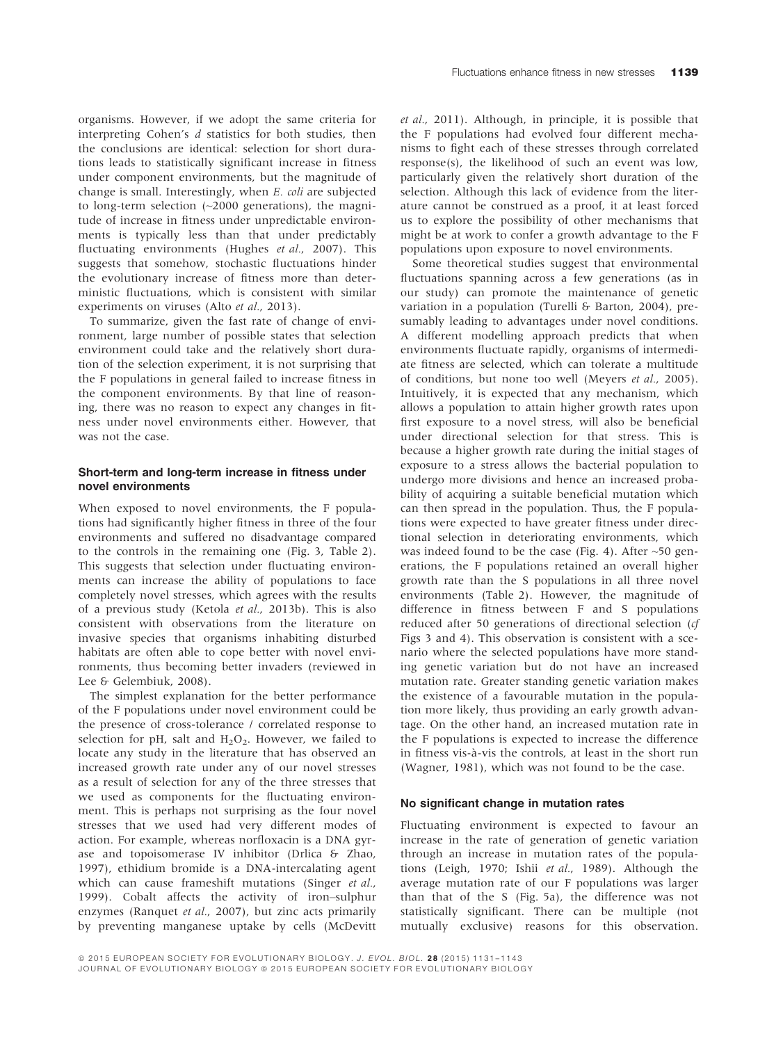organisms. However, if we adopt the same criteria for interpreting Cohen's d statistics for both studies, then the conclusions are identical: selection for short durations leads to statistically significant increase in fitness under component environments, but the magnitude of change is small. Interestingly, when E. coli are subjected to long-term selection (~2000 generations), the magnitude of increase in fitness under unpredictable environments is typically less than that under predictably fluctuating environments (Hughes et al., 2007). This suggests that somehow, stochastic fluctuations hinder the evolutionary increase of fitness more than deterministic fluctuations, which is consistent with similar experiments on viruses (Alto et al., 2013).

To summarize, given the fast rate of change of environment, large number of possible states that selection environment could take and the relatively short duration of the selection experiment, it is not surprising that the F populations in general failed to increase fitness in the component environments. By that line of reasoning, there was no reason to expect any changes in fitness under novel environments either. However, that was not the case.

## Short-term and long-term increase in fitness under novel environments

When exposed to novel environments, the F populations had significantly higher fitness in three of the four environments and suffered no disadvantage compared to the controls in the remaining one (Fig. 3, Table 2). This suggests that selection under fluctuating environments can increase the ability of populations to face completely novel stresses, which agrees with the results of a previous study (Ketola et al., 2013b). This is also consistent with observations from the literature on invasive species that organisms inhabiting disturbed habitats are often able to cope better with novel environments, thus becoming better invaders (reviewed in Lee & Gelembiuk, 2008).

The simplest explanation for the better performance of the F populations under novel environment could be the presence of cross-tolerance / correlated response to selection for pH, salt and  $H_2O_2$ . However, we failed to locate any study in the literature that has observed an increased growth rate under any of our novel stresses as a result of selection for any of the three stresses that we used as components for the fluctuating environment. This is perhaps not surprising as the four novel stresses that we used had very different modes of action. For example, whereas norfloxacin is a DNA gyrase and topoisomerase IV inhibitor (Drlica & Zhao, 1997), ethidium bromide is a DNA-intercalating agent which can cause frameshift mutations (Singer et al., 1999). Cobalt affects the activity of iron–sulphur enzymes (Ranquet et al., 2007), but zinc acts primarily by preventing manganese uptake by cells (McDevitt

et al., 2011). Although, in principle, it is possible that the F populations had evolved four different mechanisms to fight each of these stresses through correlated response(s), the likelihood of such an event was low, particularly given the relatively short duration of the selection. Although this lack of evidence from the literature cannot be construed as a proof, it at least forced us to explore the possibility of other mechanisms that might be at work to confer a growth advantage to the F populations upon exposure to novel environments.

Some theoretical studies suggest that environmental fluctuations spanning across a few generations (as in our study) can promote the maintenance of genetic variation in a population (Turelli & Barton, 2004), presumably leading to advantages under novel conditions. A different modelling approach predicts that when environments fluctuate rapidly, organisms of intermediate fitness are selected, which can tolerate a multitude of conditions, but none too well (Meyers et al., 2005). Intuitively, it is expected that any mechanism, which allows a population to attain higher growth rates upon first exposure to a novel stress, will also be beneficial under directional selection for that stress. This is because a higher growth rate during the initial stages of exposure to a stress allows the bacterial population to undergo more divisions and hence an increased probability of acquiring a suitable beneficial mutation which can then spread in the population. Thus, the F populations were expected to have greater fitness under directional selection in deteriorating environments, which was indeed found to be the case (Fig. 4). After  $~50$  generations, the F populations retained an overall higher growth rate than the S populations in all three novel environments (Table 2). However, the magnitude of difference in fitness between F and S populations reduced after 50 generations of directional selection (cf Figs 3 and 4). This observation is consistent with a scenario where the selected populations have more standing genetic variation but do not have an increased mutation rate. Greater standing genetic variation makes the existence of a favourable mutation in the population more likely, thus providing an early growth advantage. On the other hand, an increased mutation rate in the F populations is expected to increase the difference in fitness vis-a-vis the controls, at least in the short run (Wagner, 1981), which was not found to be the case.

#### No significant change in mutation rates

Fluctuating environment is expected to favour an increase in the rate of generation of genetic variation through an increase in mutation rates of the populations (Leigh, 1970; Ishii et al., 1989). Although the average mutation rate of our F populations was larger than that of the S (Fig. 5a), the difference was not statistically significant. There can be multiple (not mutually exclusive) reasons for this observation.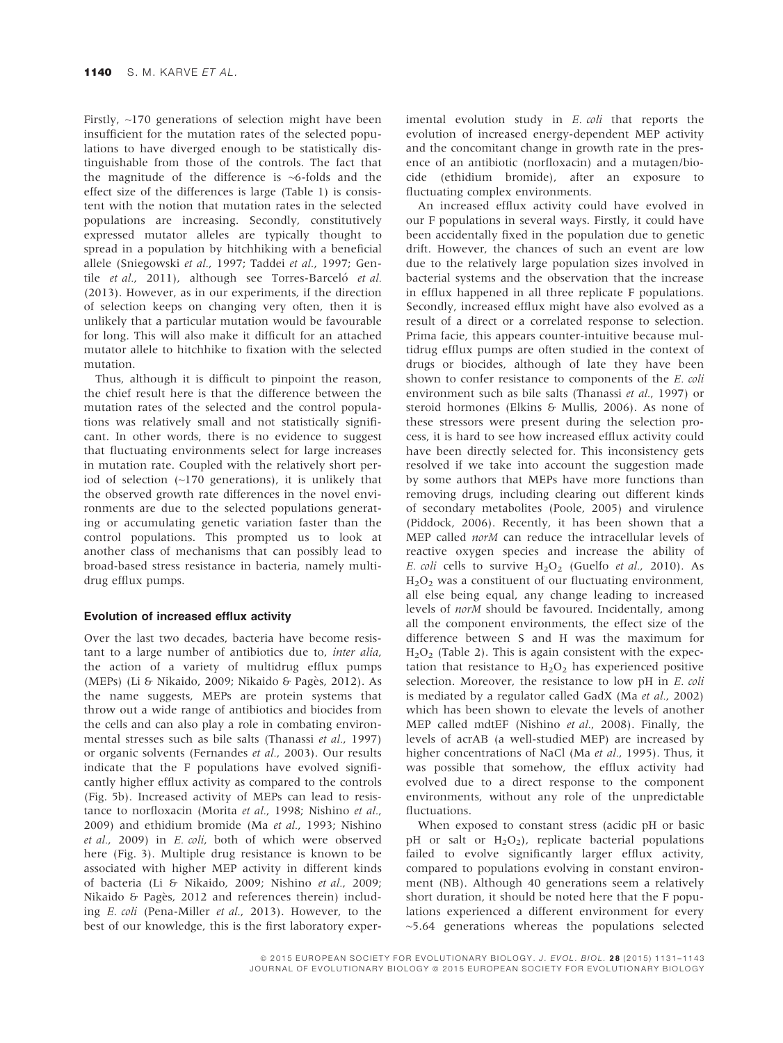Firstly, ~170 generations of selection might have been insufficient for the mutation rates of the selected populations to have diverged enough to be statistically distinguishable from those of the controls. The fact that the magnitude of the difference is  $\sim$ 6-folds and the effect size of the differences is large (Table 1) is consistent with the notion that mutation rates in the selected populations are increasing. Secondly, constitutively expressed mutator alleles are typically thought to spread in a population by hitchhiking with a beneficial allele (Sniegowski et al., 1997; Taddei et al., 1997; Gentile et al., 2011), although see Torres-Barceló et al. (2013). However, as in our experiments, if the direction of selection keeps on changing very often, then it is unlikely that a particular mutation would be favourable for long. This will also make it difficult for an attached mutator allele to hitchhike to fixation with the selected mutation.

Thus, although it is difficult to pinpoint the reason, the chief result here is that the difference between the mutation rates of the selected and the control populations was relatively small and not statistically significant. In other words, there is no evidence to suggest that fluctuating environments select for large increases in mutation rate. Coupled with the relatively short period of selection (~170 generations), it is unlikely that the observed growth rate differences in the novel environments are due to the selected populations generating or accumulating genetic variation faster than the control populations. This prompted us to look at another class of mechanisms that can possibly lead to broad-based stress resistance in bacteria, namely multidrug efflux pumps.

## Evolution of increased efflux activity

Over the last two decades, bacteria have become resistant to a large number of antibiotics due to, inter alia, the action of a variety of multidrug efflux pumps (MEPs) (Li & Nikaido, 2009; Nikaido & Pages, 2012). As the name suggests, MEPs are protein systems that throw out a wide range of antibiotics and biocides from the cells and can also play a role in combating environmental stresses such as bile salts (Thanassi et al., 1997) or organic solvents (Fernandes et al., 2003). Our results indicate that the F populations have evolved significantly higher efflux activity as compared to the controls (Fig. 5b). Increased activity of MEPs can lead to resistance to norfloxacin (Morita et al., 1998; Nishino et al., 2009) and ethidium bromide (Ma et al., 1993; Nishino et al., 2009) in E. coli, both of which were observed here (Fig. 3). Multiple drug resistance is known to be associated with higher MEP activity in different kinds of bacteria (Li & Nikaido, 2009; Nishino et al., 2009; Nikaido & Pagès, 2012 and references therein) including E. coli (Pena-Miller et al., 2013). However, to the best of our knowledge, this is the first laboratory experimental evolution study in E. coli that reports the evolution of increased energy-dependent MEP activity and the concomitant change in growth rate in the presence of an antibiotic (norfloxacin) and a mutagen/biocide (ethidium bromide), after an exposure to fluctuating complex environments.

An increased efflux activity could have evolved in our F populations in several ways. Firstly, it could have been accidentally fixed in the population due to genetic drift. However, the chances of such an event are low due to the relatively large population sizes involved in bacterial systems and the observation that the increase in efflux happened in all three replicate F populations. Secondly, increased efflux might have also evolved as a result of a direct or a correlated response to selection. Prima facie, this appears counter-intuitive because multidrug efflux pumps are often studied in the context of drugs or biocides, although of late they have been shown to confer resistance to components of the E. coli environment such as bile salts (Thanassi et al., 1997) or steroid hormones (Elkins & Mullis, 2006). As none of these stressors were present during the selection process, it is hard to see how increased efflux activity could have been directly selected for. This inconsistency gets resolved if we take into account the suggestion made by some authors that MEPs have more functions than removing drugs, including clearing out different kinds of secondary metabolites (Poole, 2005) and virulence (Piddock, 2006). Recently, it has been shown that a MEP called norM can reduce the intracellular levels of reactive oxygen species and increase the ability of E. coli cells to survive  $H_2O_2$  (Guelfo et al., 2010). As  $H<sub>2</sub>O<sub>2</sub>$  was a constituent of our fluctuating environment, all else being equal, any change leading to increased levels of norM should be favoured. Incidentally, among all the component environments, the effect size of the difference between S and H was the maximum for  $H<sub>2</sub>O<sub>2</sub>$  (Table 2). This is again consistent with the expectation that resistance to  $H_2O_2$  has experienced positive selection. Moreover, the resistance to low pH in E. coli is mediated by a regulator called GadX (Ma et al., 2002) which has been shown to elevate the levels of another MEP called mdtEF (Nishino et al., 2008). Finally, the levels of acrAB (a well-studied MEP) are increased by higher concentrations of NaCl (Ma et al., 1995). Thus, it was possible that somehow, the efflux activity had evolved due to a direct response to the component environments, without any role of the unpredictable fluctuations.

When exposed to constant stress (acidic pH or basic pH or salt or  $H_2O_2$ ), replicate bacterial populations failed to evolve significantly larger efflux activity, compared to populations evolving in constant environment (NB). Although 40 generations seem a relatively short duration, it should be noted here that the F populations experienced a different environment for every ~5.64 generations whereas the populations selected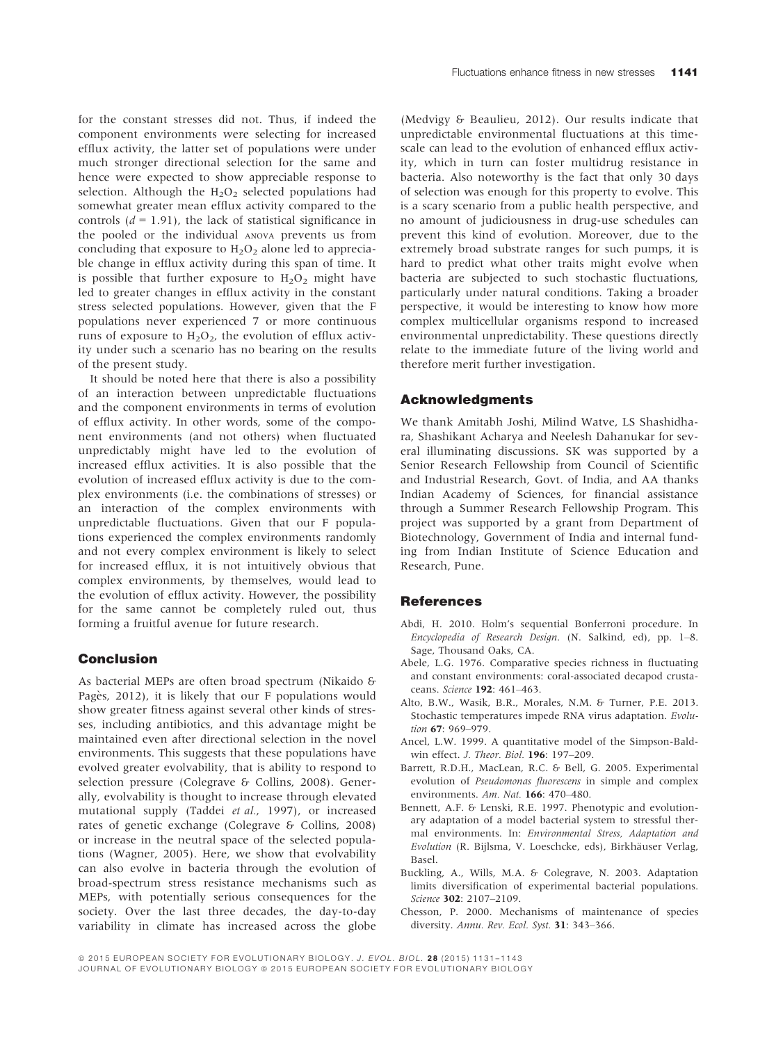for the constant stresses did not. Thus, if indeed the component environments were selecting for increased efflux activity, the latter set of populations were under much stronger directional selection for the same and hence were expected to show appreciable response to selection. Although the  $H_2O_2$  selected populations had somewhat greater mean efflux activity compared to the controls  $(d = 1.91)$ , the lack of statistical significance in the pooled or the individual ANOVA prevents us from concluding that exposure to  $H_2O_2$  alone led to appreciable change in efflux activity during this span of time. It is possible that further exposure to  $H_2O_2$  might have led to greater changes in efflux activity in the constant stress selected populations. However, given that the F populations never experienced 7 or more continuous runs of exposure to  $H_2O_2$ , the evolution of efflux activity under such a scenario has no bearing on the results of the present study.

It should be noted here that there is also a possibility of an interaction between unpredictable fluctuations and the component environments in terms of evolution of efflux activity. In other words, some of the component environments (and not others) when fluctuated unpredictably might have led to the evolution of increased efflux activities. It is also possible that the evolution of increased efflux activity is due to the complex environments (i.e. the combinations of stresses) or an interaction of the complex environments with unpredictable fluctuations. Given that our F populations experienced the complex environments randomly and not every complex environment is likely to select for increased efflux, it is not intuitively obvious that complex environments, by themselves, would lead to the evolution of efflux activity. However, the possibility for the same cannot be completely ruled out, thus forming a fruitful avenue for future research.

# Conclusion

As bacterial MEPs are often broad spectrum (Nikaido & Pagès, 2012), it is likely that our F populations would show greater fitness against several other kinds of stresses, including antibiotics, and this advantage might be maintained even after directional selection in the novel environments. This suggests that these populations have evolved greater evolvability, that is ability to respond to selection pressure (Colegrave & Collins, 2008). Generally, evolvability is thought to increase through elevated mutational supply (Taddei et al., 1997), or increased rates of genetic exchange (Colegrave & Collins, 2008) or increase in the neutral space of the selected populations (Wagner, 2005). Here, we show that evolvability can also evolve in bacteria through the evolution of broad-spectrum stress resistance mechanisms such as MEPs, with potentially serious consequences for the society. Over the last three decades, the day-to-day variability in climate has increased across the globe

(Medvigy & Beaulieu, 2012). Our results indicate that unpredictable environmental fluctuations at this timescale can lead to the evolution of enhanced efflux activity, which in turn can foster multidrug resistance in bacteria. Also noteworthy is the fact that only 30 days of selection was enough for this property to evolve. This is a scary scenario from a public health perspective, and no amount of judiciousness in drug-use schedules can prevent this kind of evolution. Moreover, due to the extremely broad substrate ranges for such pumps, it is hard to predict what other traits might evolve when bacteria are subjected to such stochastic fluctuations, particularly under natural conditions. Taking a broader perspective, it would be interesting to know how more complex multicellular organisms respond to increased environmental unpredictability. These questions directly relate to the immediate future of the living world and therefore merit further investigation.

## Acknowledgments

We thank Amitabh Joshi, Milind Watve, LS Shashidhara, Shashikant Acharya and Neelesh Dahanukar for several illuminating discussions. SK was supported by a Senior Research Fellowship from Council of Scientific and Industrial Research, Govt. of India, and AA thanks Indian Academy of Sciences, for financial assistance through a Summer Research Fellowship Program. This project was supported by a grant from Department of Biotechnology, Government of India and internal funding from Indian Institute of Science Education and Research, Pune.

## **References**

- Abdi, H. 2010. Holm's sequential Bonferroni procedure. In Encyclopedia of Research Design. (N. Salkind, ed), pp. 1–8. Sage, Thousand Oaks, CA.
- Abele, L.G. 1976. Comparative species richness in fluctuating and constant environments: coral-associated decapod crustaceans. Science 192: 461–463.
- Alto, B.W., Wasik, B.R., Morales, N.M. & Turner, P.E. 2013. Stochastic temperatures impede RNA virus adaptation. Evolution **67**: 969–979.
- Ancel, L.W. 1999. A quantitative model of the Simpson-Baldwin effect. *J. Theor. Biol.* **196**: 197-209.
- Barrett, R.D.H., MacLean, R.C. & Bell, G. 2005. Experimental evolution of Pseudomonas fluorescens in simple and complex environments. Am. Nat. 166: 470–480.
- Bennett, A.F. & Lenski, R.E. 1997. Phenotypic and evolutionary adaptation of a model bacterial system to stressful thermal environments. In: Environmental Stress, Adaptation and Evolution (R. Bijlsma, V. Loeschcke, eds), Birkhäuser Verlag, Basel.
- Buckling, A., Wills, M.A. & Colegrave, N. 2003. Adaptation limits diversification of experimental bacterial populations. Science 302: 2107-2109.
- Chesson, P. 2000. Mechanisms of maintenance of species diversity. Annu. Rev. Ecol. Syst. 31: 343-366.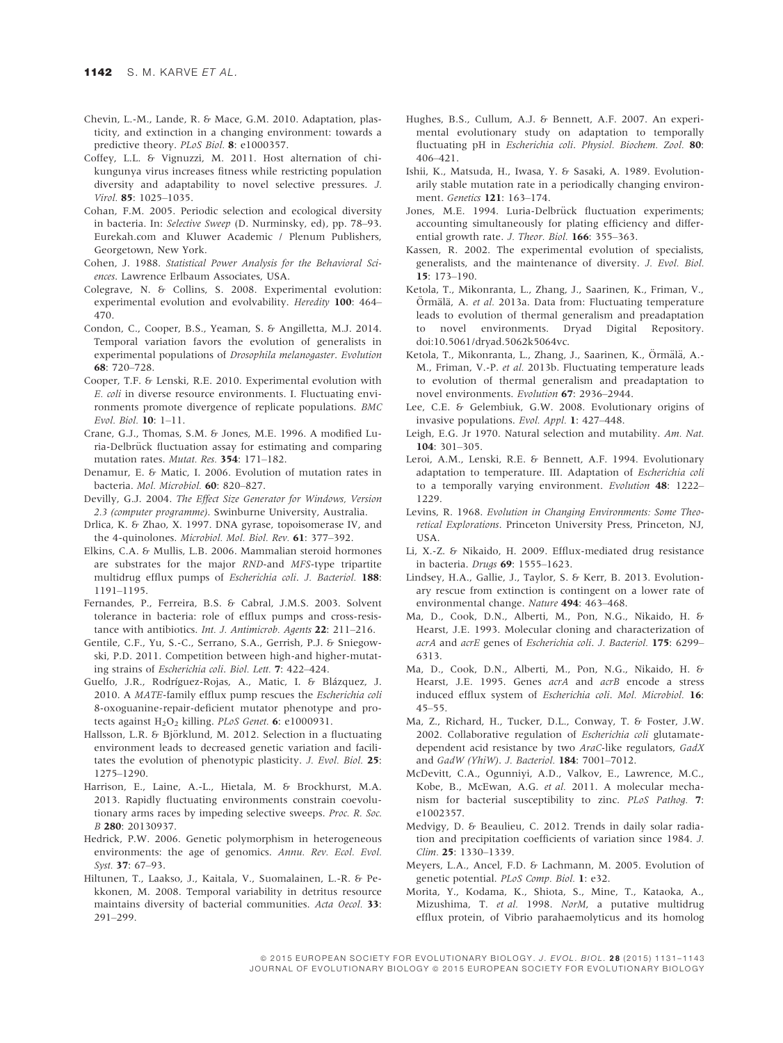- Chevin, L.-M., Lande, R. & Mace, G.M. 2010. Adaptation, plasticity, and extinction in a changing environment: towards a predictive theory. PLoS Biol. 8: e1000357.
- Coffey, L.L. & Vignuzzi, M. 2011. Host alternation of chikungunya virus increases fitness while restricting population diversity and adaptability to novel selective pressures. J. Virol. 85: 1025–1035.
- Cohan, F.M. 2005. Periodic selection and ecological diversity in bacteria. In: Selective Sweep (D. Nurminsky, ed), pp. 78–93. Eurekah.com and Kluwer Academic / Plenum Publishers, Georgetown, New York.
- Cohen, J. 1988. Statistical Power Analysis for the Behavioral Sciences. Lawrence Erlbaum Associates, USA.
- Colegrave, N. & Collins, S. 2008. Experimental evolution: experimental evolution and evolvability. Heredity 100: 464– 470.
- Condon, C., Cooper, B.S., Yeaman, S. & Angilletta, M.J. 2014. Temporal variation favors the evolution of generalists in experimental populations of Drosophila melanogaster. Evolution 68: 720–728.
- Cooper, T.F. & Lenski, R.E. 2010. Experimental evolution with E. coli in diverse resource environments. I. Fluctuating environments promote divergence of replicate populations. BMC Evol. Biol. 10: 1–11.
- Crane, G.J., Thomas, S.M. & Jones, M.E. 1996. A modified Luria-Delbrück fluctuation assay for estimating and comparing mutation rates. Mutat. Res. 354: 171–182.
- Denamur, E. & Matic, I. 2006. Evolution of mutation rates in bacteria. Mol. Microbiol. 60: 820–827.
- Devilly, G.J. 2004. The Effect Size Generator for Windows, Version 2.3 (computer programme). Swinburne University, Australia.
- Drlica, K. & Zhao, X. 1997. DNA gyrase, topoisomerase IV, and the 4-quinolones. Microbiol. Mol. Biol. Rev. 61: 377–392.
- Elkins, C.A. & Mullis, L.B. 2006. Mammalian steroid hormones are substrates for the major RND-and MFS-type tripartite multidrug efflux pumps of Escherichia coli. J. Bacteriol. 188: 1191–1195.
- Fernandes, P., Ferreira, B.S. & Cabral, J.M.S. 2003. Solvent tolerance in bacteria: role of efflux pumps and cross-resistance with antibiotics. Int. J. Antimicrob. Agents 22: 211-216.
- Gentile, C.F., Yu, S.-C., Serrano, S.A., Gerrish, P.J. & Sniegowski, P.D. 2011. Competition between high-and higher-mutating strains of Escherichia coli. Biol. Lett. 7: 422–424.
- Guelfo, J.R., Rodríguez-Rojas, A., Matic, I. & Blázquez, J. 2010. A MATE-family efflux pump rescues the Escherichia coli 8-oxoguanine-repair-deficient mutator phenotype and protects against  $H_2O_2$  killing. PLoS Genet. 6: e1000931.
- Hallsson, L.R. & Björklund, M. 2012. Selection in a fluctuating environment leads to decreased genetic variation and facilitates the evolution of phenotypic plasticity. J. Evol. Biol. 25: 1275–1290.
- Harrison, E., Laine, A.-L., Hietala, M. & Brockhurst, M.A. 2013. Rapidly fluctuating environments constrain coevolutionary arms races by impeding selective sweeps. Proc. R. Soc. B 280: 20130937.
- Hedrick, P.W. 2006. Genetic polymorphism in heterogeneous environments: the age of genomics. Annu. Rev. Ecol. Evol. Syst. 37: 67–93.
- Hiltunen, T., Laakso, J., Kaitala, V., Suomalainen, L.-R. & Pekkonen, M. 2008. Temporal variability in detritus resource maintains diversity of bacterial communities. Acta Oecol. 33: 291–299.
- Hughes, B.S., Cullum, A.J. & Bennett, A.F. 2007. An experimental evolutionary study on adaptation to temporally fluctuating pH in Escherichia coli. Physiol. Biochem. Zool. 80: 406–421.
- Ishii, K., Matsuda, H., Iwasa, Y. & Sasaki, A. 1989. Evolutionarily stable mutation rate in a periodically changing environment. Genetics 121: 163–174.
- Jones, M.E. 1994. Luria-Delbrück fluctuation experiments; accounting simultaneously for plating efficiency and differential growth rate. J. Theor. Biol. 166: 355-363.
- Kassen, R. 2002. The experimental evolution of specialists, generalists, and the maintenance of diversity. J. Evol. Biol. 15: 173–190.
- Ketola, T., Mikonranta, L., Zhang, J., Saarinen, K., Friman, V., Örmälä, A. et al. 2013a. Data from: Fluctuating temperature leads to evolution of thermal generalism and preadaptation to novel environments. Dryad Digital Repository. doi[:10.5061/dryad.5062k5064vc](http://dx.doi.org/10.5061/dryad.5062k5064vc).
- Ketola, T., Mikonranta, L., Zhang, J., Saarinen, K., Örmälä, A.-M., Friman, V.-P. et al. 2013b. Fluctuating temperature leads to evolution of thermal generalism and preadaptation to novel environments. Evolution 67: 2936–2944.
- Lee, C.E. & Gelembiuk, G.W. 2008. Evolutionary origins of invasive populations. Evol. Appl. 1: 427–448.
- Leigh, E.G. Jr 1970. Natural selection and mutability. Am. Nat. 104: 301–305.
- Leroi, A.M., Lenski, R.E. & Bennett, A.F. 1994. Evolutionary adaptation to temperature. III. Adaptation of Escherichia coli to a temporally varying environment. Evolution 48: 1222-1229.
- Levins, R. 1968. Evolution in Changing Environments: Some Theoretical Explorations. Princeton University Press, Princeton, NJ, USA.
- Li, X.-Z. & Nikaido, H. 2009. Efflux-mediated drug resistance in bacteria. Drugs 69: 1555–1623.
- Lindsey, H.A., Gallie, J., Taylor, S. & Kerr, B. 2013. Evolutionary rescue from extinction is contingent on a lower rate of environmental change. Nature 494: 463–468.
- Ma, D., Cook, D.N., Alberti, M., Pon, N.G., Nikaido, H. & Hearst, J.E. 1993. Molecular cloning and characterization of acrA and acrE genes of Escherichia coli. J. Bacteriol. 175: 6299– 6313.
- Ma, D., Cook, D.N., Alberti, M., Pon, N.G., Nikaido, H. & Hearst, J.E. 1995. Genes acrA and acrB encode a stress induced efflux system of Escherichia coli. Mol. Microbiol. 16: 45–55.
- Ma, Z., Richard, H., Tucker, D.L., Conway, T. & Foster, J.W. 2002. Collaborative regulation of Escherichia coli glutamatedependent acid resistance by two AraC-like regulators, GadX and GadW (YhiW). J. Bacteriol. 184: 7001–7012.
- McDevitt, C.A., Ogunniyi, A.D., Valkov, E., Lawrence, M.C., Kobe, B., McEwan, A.G. et al. 2011. A molecular mechanism for bacterial susceptibility to zinc. PLoS Pathog. 7: e1002357.
- Medvigy, D. & Beaulieu, C. 2012. Trends in daily solar radiation and precipitation coefficients of variation since 1984. J. Clim. 25: 1330–1339.
- Meyers, L.A., Ancel, F.D. & Lachmann, M. 2005. Evolution of genetic potential. PLoS Comp. Biol. 1: e32.
- Morita, Y., Kodama, K., Shiota, S., Mine, T., Kataoka, A., Mizushima, T. et al. 1998. NorM, a putative multidrug efflux protein, of Vibrio parahaemolyticus and its homolog